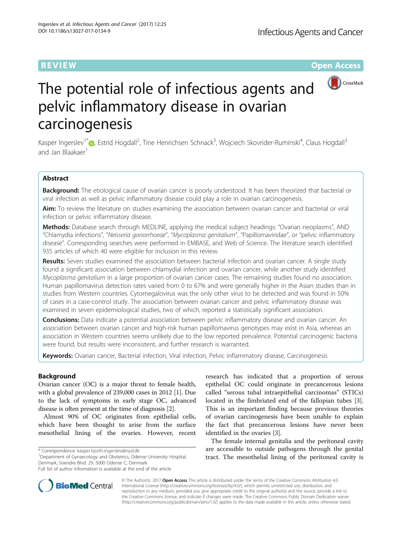**REVIEW CONSIDERING CONSIDERING CONSIDERING CONSIDERING CONSIDERING CONSIDERING CONSIDERING CONSIDERING CONSIDERING CONSIDERING CONSIDERING CONSIDERING CONSIDERING CONSIDERING CONSIDERING CONSIDERING CONSIDERING CONSIDER** 



# The potential role of infectious agents and pelvic inflammatory disease in ovarian carcinogenesis

Kasper Ingerslev<sup>1\*</sup>D[,](http://orcid.org/0000-0002-8428-0518) Estrid Hogdall<sup>2</sup>, Tine Henrichsen Schnack<sup>3</sup>, Wojciech Skovrider-Ruminski<sup>4</sup>, Claus Hogdall<sup>3</sup> and Jan Blaakaer<sup>1</sup>

# Abstract

Background: The etiological cause of ovarian cancer is poorly understood. It has been theorized that bacterial or viral infection as well as pelvic inflammatory disease could play a role in ovarian carcinogenesis.

Aim: To review the literature on studies examining the association between ovarian cancer and bacterial or viral infection or pelvic inflammatory disease.

Methods: Database search through MEDLINE, applying the medical subject headings: "Ovarian neoplasms", AND "Chlamydia infections", "Neisseria gonorrhoeae", "Mycoplasma genitalium", "Papillomaviridae", or "pelvic inflammatory disease". Corresponding searches were performed in EMBASE, and Web of Science. The literature search identified 935 articles of which 40 were eligible for inclusion in this review.

Results: Seven studies examined the association between bacterial infection and ovarian cancer. A single study found a significant association between chlamydial infection and ovarian cancer, while another study identified Mycoplasma genitalium in a large proportion of ovarian cancer cases. The remaining studies found no association. Human papillomavirus detection rates varied from 0 to 67% and were generally higher in the Asian studies than in studies from Western countries. Cytomegalovirus was the only other virus to be detected and was found in 50% of cases in a case-control study. The association between ovarian cancer and pelvic inflammatory disease was examined in seven epidemiological studies, two of which, reported a statistically significant association.

Conclusions: Data indicate a potential association between pelvic inflammatory disease and ovarian cancer. An association between ovarian cancer and high-risk human papillomavirus genotypes may exist in Asia, whereas an association in Western countries seems unlikely due to the low reported prevalence. Potential carcinogenic bacteria were found, but results were inconsistent, and further research is warranted.

Keywords: Ovarian cancer, Bacterial infection, Viral infection, Pelvic inflammatory disease, Carcinogenesis

# Background

Ovarian cancer (OC) is a major threat to female health, with a global prevalence of 239,000 cases in 2012 [[1\]](#page-7-0). Due to the lack of symptoms in early stage OC, advanced disease is often present at the time of diagnosis [\[2](#page-7-0)].

Almost 90% of OC originates from epithelial cells, which have been thought to arise from the surface mesothelial lining of the ovaries. However, recent

<sup>1</sup>Department of Gynaecology and Obstetrics, Odense University Hospital, Denmark, Soendre Blvd. 29, 5000 Odense C, Denmark

research has indicated that a proportion of serous epithelial OC could originate in precancerous lesions called "serous tubal intraepithelial carcinomas" (STICs) located in the fimbriated end of the fallopian tubes [\[3](#page-7-0)]. This is an important finding because previous theories of ovarian carcinogenesis have been unable to explain the fact that precancerous lesions have never been identified in the ovaries [\[3](#page-7-0)].

The female internal genitalia and the peritoneal cavity are accessible to outside pathogens through the genital tract. The mesothelial lining of the peritoneal cavity is



© The Author(s). 2017 **Open Access** This article is distributed under the terms of the Creative Commons Attribution 4.0 International License [\(http://creativecommons.org/licenses/by/4.0/](http://creativecommons.org/licenses/by/4.0/)), which permits unrestricted use, distribution, and reproduction in any medium, provided you give appropriate credit to the original author(s) and the source, provide a link to the Creative Commons license, and indicate if changes were made. The Creative Commons Public Domain Dedication waiver [\(http://creativecommons.org/publicdomain/zero/1.0/](http://creativecommons.org/publicdomain/zero/1.0/)) applies to the data made available in this article, unless otherwise stated.

<sup>\*</sup> Correspondence: [kasper.hjorth.ingerslev@rsyd.dk](mailto:kasper.hjorth.ingerslev@rsyd.dk) <sup>1</sup>

Full list of author information is available at the end of the article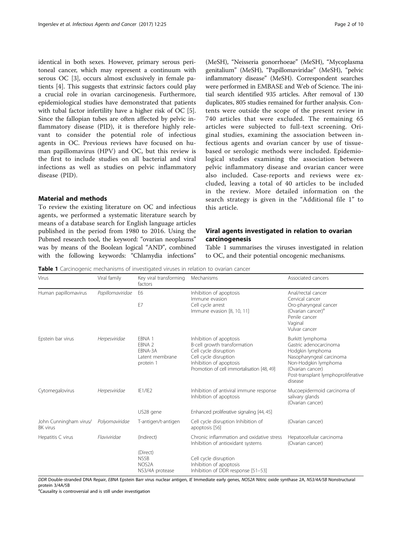identical in both sexes. However, primary serous peritoneal cancer, which may represent a continuum with serous OC [[3\]](#page-7-0), occurs almost exclusively in female patients [\[4\]](#page-7-0). This suggests that extrinsic factors could play a crucial role in ovarian carcinogenesis. Furthermore, epidemiological studies have demonstrated that patients with tubal factor infertility have a higher risk of OC [\[5](#page-7-0)]. Since the fallopian tubes are often affected by pelvic inflammatory disease (PID), it is therefore highly relevant to consider the potential role of infectious agents in OC. Previous reviews have focused on human papillomavirus (HPV) and OC, but this review is the first to include studies on all bacterial and viral infections as well as studies on pelvic inflammatory disease (PID).

# Material and methods

To review the existing literature on OC and infectious agents, we performed a systematic literature search by means of a database search for English language articles published in the period from 1980 to 2016. Using the Pubmed research tool, the keyword: "ovarian neoplasms" was by means of the Boolean logical "AND", combined with the following keywords: "Chlamydia infections"

Virus Viral family Key viral transforming

(MeSH), "Neisseria gonorrhoeae" (MeSH), "Mycoplasma genitalium" (MeSH), "Papillomaviridae" (MeSH), "pelvic inflammatory disease" (MeSH). Correspondent searches were performed in EMBASE and Web of Science. The initial search identified 935 articles. After removal of 130 duplicates, 805 studies remained for further analysis. Contents were outside the scope of the present review in 740 articles that were excluded. The remaining 65 articles were subjected to full-text screening. Original studies, examining the association between infectious agents and ovarian cancer by use of tissuebased or serologic methods were included. Epidemiological studies examining the association between pelvic inflammatory disease and ovarian cancer were also included. Case-reports and reviews were excluded, leaving a total of 40 articles to be included in the review. More detailed information on the search strategy is given in the "Additional file [1](#page-7-0)" to this article.

# Viral agents investigated in relation to ovarian carcinogenesis

Mechanisms **Associated** cancers

Table 1 summarises the viruses investigated in relation to OC, and their potential oncogenic mechanisms.

Table 1 Carcinogenic mechanisms of investigated viruses in relation to ovarian cancer

factors Human papillomavirus Papillomaviridae E6 E7 Inhibition of apoptosis Immune evasion Cell cycle arrest Immune evasion [[8,](#page-7-0) [10](#page-7-0), [11](#page-7-0)] Anal/rectal cancer Cervical cancer Oro-pharyngeal cancer (Ovarian cancer)<sup>a</sup> Penile cancer Vaginal Vulvar cancer Epstein bar virus Herpesviridae EBNA 1 EBNA 2 EBNA-3A Latent membrane protein 1 Inhibition of apoptosis B-cell growth transformation Cell cycle disruption Cell cycle disruption Inhibition of apoptosis Promotion of cell immortalisation [\[48](#page-8-0), [49](#page-8-0)] Burkitt lymphoma Gastric adenocarcinoma Hodgkin lymphoma Nasopharyngeal carcinoma Non-Hodgkin lymphoma (Ovarian cancer) Post-transplant lymphoproliferative disease Cytomegalovirus Herpesviridae IE1/IE2 Inhibition of antiviral immune response Inhibition of apoptosis Mucoepidermoid carcinoma of salivary glands (Ovarian cancer) US28 gene Enhanced proliferative signaling [\[44,](#page-8-0) [45](#page-8-0)] John Cunningham virus/ BK virus Polyomaviridae T-antigen/t-antigen Cell cycle disruption Inhibition of apoptosis [\[56\]](#page-8-0) (Ovarian cancer) Hepatitis C virus Flaviviridae (Indirect) Chronic inflammation and oxidative stress Inhibition of antioxidant systems Hepatocellular carcinoma (Ovarian cancer) (Direct) NS5B NOS2A NS3/4A protease Cell cycle disruption Inhibition of apoptosis Inhibition of DDR response [\[51](#page-8-0)–[53\]](#page-8-0)

DDR Double-stranded DNA Repair, EBNA Epstein Barr virus nuclear antigen, IE Immediate early genes, NOS2A Nitric oxide synthase 2A, NS3/4A/5B Nonstructural protein 3/4A/5B

<sup>a</sup>Causality is controversial and is still under investigation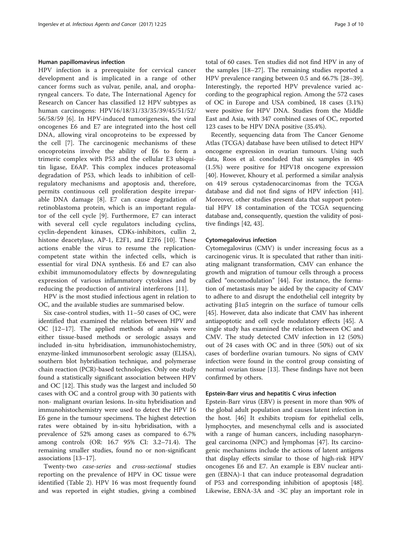# Human papillomavirus infection

HPV infection is a prerequisite for cervical cancer development and is implicated in a range of other cancer forms such as vulvar, penile, anal, and oropharyngeal cancers. To date, The International Agency for Research on Cancer has classified 12 HPV subtypes as human carcinogens: HPV16/18/31/33/35/39/45/51/52/ 56/58/59 [\[6](#page-7-0)]. In HPV-induced tumorigenesis, the viral oncogenes E6 and E7 are integrated into the host cell DNA, allowing viral oncoproteins to be expressed by the cell [[7\]](#page-7-0). The carcinogenic mechanisms of these oncoproteins involve the ability of E6 to form a trimeric complex with P53 and the cellular E3 ubiquitin ligase, E6AP. This complex induces proteasomal degradation of P53, which leads to inhibition of cellregulatory mechanisms and apoptosis and, therefore, permits continuous cell proliferation despite irreparable DNA damage [\[8](#page-7-0)]. E7 can cause degradation of retinoblastoma protein, which is an important regulator of the cell cycle [\[9](#page-7-0)]. Furthermore, E7 can interact with several cell cycle regulators including cyclins, cyclin-dependent kinases, CDKs-inhibitors, cullin 2, histone deacetylase, AP-1, E2F1, and E2F6 [\[10](#page-7-0)]. These actions enable the virus to resume the replicationcompetent state within the infected cells, which is essential for viral DNA synthesis. E6 and E7 can also exhibit immunomodulatory effects by downregulating expression of various inflammatory cytokines and by reducing the production of antiviral interferons [[11\]](#page-7-0).

HPV is the most studied infectious agent in relation to OC, and the available studies are summarised below.

Six case-control studies, with 11–50 cases of OC, were identified that examined the relation between HPV and OC [[12](#page-7-0)–[17](#page-7-0)]. The applied methods of analysis were either tissue-based methods or serologic assays and included in-situ hybridisation, immunohistochemistry, enzyme-linked immunosorbent serologic assay (ELISA), southern blot hybridisation technique, and polymerase chain reaction (PCR)-based technologies. Only one study found a statistically significant association between HPV and OC [[12](#page-7-0)]. This study was the largest and included 50 cases with OC and a control group with 30 patients with non- malignant ovarian lesions. In-situ hybridisation and immunohistochemistry were used to detect the HPV 16 E6 gene in the tumour specimens. The highest detection rates were obtained by in-situ hybridisation, with a prevalence of 52% among cases as compared to 6.7% among controls (OR: 16.7 95% CI: 3.2–71.4). The remaining smaller studies, found no or non-significant associations [\[13](#page-7-0)–[17\]](#page-7-0).

Twenty-two case-series and cross-sectional studies reporting on the prevalence of HPV in OC tissue were identified (Table [2\)](#page-3-0). HPV 16 was most frequently found and was reported in eight studies, giving a combined total of 60 cases. Ten studies did not find HPV in any of the samples [[18](#page-7-0)–[27](#page-8-0)]. The remaining studies reported a HPV prevalence ranging between 0.5 and 66.7% [[28](#page-8-0)–[39](#page-8-0)]. Interestingly, the reported HPV prevalence varied according to the geographical region. Among the 572 cases of OC in Europe and USA combined, 18 cases (3.1%) were positive for HPV DNA. Studies from the Middle East and Asia, with 347 combined cases of OC, reported 123 cases to be HPV DNA positive (35.4%).

Recently, sequencing data from The Cancer Genome Atlas (TCGA) database have been utilised to detect HPV oncogene expression in ovarian tumours. Using such data, Roos et al. concluded that six samples in 405 (1.5%) were positive for HPV18 oncogene expression [[40\]](#page-8-0). However, Khoury et al. performed a similar analysis on 419 serous cystadenocarcinomas from the TCGA database and did not find signs of HPV infection [\[41](#page-8-0)]. Moreover, other studies present data that support potential HPV 18 contamination of the TCGA sequencing database and, consequently, question the validity of positive findings [[42, 43\]](#page-8-0).

# Cytomegalovirus infection

Cytomegalovirus (CMV) is under increasing focus as a carcinogenic virus. It is speculated that rather than initiating malignant transformation, CMV can enhance the growth and migration of tumour cells through a process called "oncomodulation" [[44\]](#page-8-0). For instance, the formation of metastasis may be aided by the capacity of CMV to adhere to and disrupt the endothelial cell integrity by activating β1α5 integrin on the surface of tumour cells [[45\]](#page-8-0). However, data also indicate that CMV has inherent antiapoptotic and cell cycle modulatory effects [[45\]](#page-8-0). A single study has examined the relation between OC and CMV. The study detected CMV infection in 12 (50%) out of 24 cases with OC and in three (50%) out of six cases of borderline ovarian tumours. No signs of CMV infection were found in the control group consisting of normal ovarian tissue [[13](#page-7-0)]. These findings have not been confirmed by others.

# Epstein-Barr virus and hepatitis C virus infection

Epstein-Barr virus (EBV) is present in more than 90% of the global adult population and causes latent infection in the host. [[46\]](#page-8-0) It exhibits tropism for epithelial cells, lymphocytes, and mesenchymal cells and is associated with a range of human cancers, including nasopharyngeal carcinoma (NPC) and lymphomas [[47](#page-8-0)]. Its carcinogenic mechanisms include the actions of latent antigens that display effects similar to those of high-risk HPV oncogenes E6 and E7. An example is EBV nuclear antigen (EBNA)-1 that can induce proteasomal degradation of P53 and corresponding inhibition of apoptosis [\[48](#page-8-0)]. Likewise, EBNA-3A and -3C play an important role in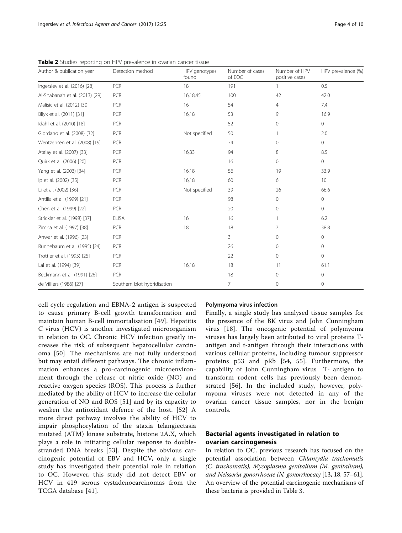| Author & publication year      | Detection method            | HPV genotypes<br>found | Number of cases<br>of EOC | Number of HPV<br>positive cases | HPV prevalence (%) |
|--------------------------------|-----------------------------|------------------------|---------------------------|---------------------------------|--------------------|
| Ingerslev et al. (2016) [28]   | PCR                         | 18                     | 191                       |                                 | 0.5                |
| Al-Shabanah et al. (2013) [29] | PCR                         | 16,18,45               | 100                       | 42                              | 42.0               |
| Malisic et al. (2012) [30]     | PCR                         | 16                     | 54                        | $\overline{4}$                  | 7.4                |
| Bilyk et al. (2011) [31]       | PCR                         | 16,18                  | 53                        | 9                               | 16.9               |
| Idahl et al. (2010) [18]       | <b>PCR</b>                  |                        | 52                        | $\Omega$                        | $\mathbf{0}$       |
| Giordano et al. (2008) [32]    | PCR                         | Not specified          | 50                        |                                 | 2.0                |
| Wentzensen et al. (2008) [19]  | PCR                         |                        | 74                        | $\Omega$                        | $\circ$            |
| Atalay et al. (2007) [33]      | PCR                         | 16,33                  | 94                        | 8                               | 8.5                |
| Quirk et al. (2006) [20]       | PCR                         |                        | 16                        | 0                               | $\circ$            |
| Yang et al. (2003) [34]        | <b>PCR</b>                  | 16,18                  | 56                        | 19                              | 33.9               |
| lp et al. (2002) [35]          | PCR                         | 16,18                  | 60                        | 6                               | 10 <sup>°</sup>    |
| Li et al. (2002) [36]          | <b>PCR</b>                  | Not specified          | 39                        | 26                              | 66.6               |
| Antilla et al. (1999) [21]     | PCR                         |                        | 98                        | $\Omega$                        | $\circ$            |
| Chen et al. (1999) [22]        | PCR                         |                        | 20                        | 0                               | $\mathbf{0}$       |
| Strickler et al. (1998) [37]   | <b>ELISA</b>                | 16                     | 16                        |                                 | 6.2                |
| Zimna et al. (1997) [38]       | PCR                         | 18                     | 18                        | 7                               | 38.8               |
| Anwar et al. (1996) [23]       | PCR                         |                        | 3                         | $\Omega$                        | $\circ$            |
| Runnebaum et al. (1995) [24]   | PCR                         |                        | 26                        | $\Omega$                        | $\mathbf{0}$       |
| Trottier et al. (1995) [25]    | PCR                         |                        | 22                        | 0                               | $\mathbf{0}$       |
| Lai et al. (1994) [39]         | PCR                         | 16,18                  | 18                        | 11                              | 61.1               |
| Beckmann et al. (1991) [26]    | PCR                         |                        | 18                        | 0                               | $\mathbf{0}$       |
| de Villiers (1986) [27]        | Southern blot hybridisation |                        | 7                         | 0                               | $\circ$            |

<span id="page-3-0"></span>Table 2 Studies reporting on HPV prevalence in ovarian cancer tissue

cell cycle regulation and EBNA-2 antigen is suspected to cause primary B-cell growth transformation and maintain human B-cell immortalisation [[49](#page-8-0)]. Hepatitis C virus (HCV) is another investigated microorganism in relation to OC. Chronic HCV infection greatly increases the risk of subsequent hepatocellular carcinoma [[50](#page-8-0)]. The mechanisms are not fully understood but may entail different pathways. The chronic inflammation enhances a pro-carcinogenic microenvironment through the release of nitric oxide (NO) and reactive oxygen species (ROS). This process is further mediated by the ability of HCV to increase the cellular generation of NO and ROS [\[51](#page-8-0)] and by its capacity to weaken the antioxidant defence of the host. [[52\]](#page-8-0) A more direct pathway involves the ability of HCV to impair phosphorylation of the ataxia telangiectasia mutated (ATM) kinase substrate, histone 2A.X, which plays a role in initiating cellular response to doublestranded DNA breaks [[53](#page-8-0)]. Despite the obvious carcinogenic potential of EBV and HCV, only a single study has investigated their potential role in relation to OC. However, this study did not detect EBV or HCV in 419 serous cystadenocarcinomas from the TCGA database [\[41\]](#page-8-0).

# Polymyoma virus infection

Finally, a single study has analysed tissue samples for the presence of the BK virus and John Cunningham virus [\[18\]](#page-7-0). The oncogenic potential of polymyoma viruses has largely been attributed to viral proteins Tantigen and t-antigen through their interactions with various cellular proteins, including tumour suppressor proteins p53 and pRb [\[54](#page-8-0), [55](#page-8-0)]. Furthermore, the capability of John Cunningham virus T- antigen to transform rodent cells has previously been demonstrated [\[56](#page-8-0)]. In the included study, however, polymyoma viruses were not detected in any of the ovarian cancer tissue samples, nor in the benign controls.

# Bacterial agents investigated in relation to ovarian carcinogenesis

In relation to OC, previous research has focused on the potential association between Chlamydia trachomatis (C. trachomatis), Mycoplasma genitalium (M. genitalium), and Neisseria gonorrhoeae (N. gonorrhoeae) [[13](#page-7-0), [18](#page-7-0), [57](#page-8-0)–[61](#page-8-0)]. An overview of the potential carcinogenic mechanisms of these bacteria is provided in Table [3](#page-4-0).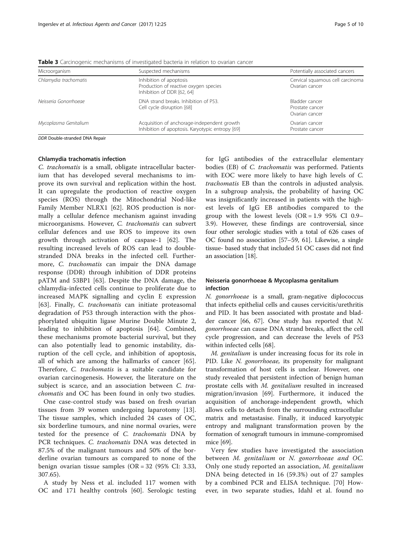| Microorganism         | Suspected mechanisms                                                                            | Potentially associated cancers                      |  |  |
|-----------------------|-------------------------------------------------------------------------------------------------|-----------------------------------------------------|--|--|
| Chlamydia trachomatis | Inhibition of apoptosis<br>Production of reactive oxygen species<br>Inhibition of DDR [62, 64]  | Cervical squamous cell carcinoma<br>Ovarian cancer  |  |  |
| Neisseria Gonorrhoeae | DNA strand breaks. Inhibition of P53.<br>Cell cycle disruption [68]                             | Bladder cancer<br>Prostate cancer<br>Ovarian cancer |  |  |
| Mycoplasma Genitalium | Acquisition of anchorage-independent growth<br>Inhibition of apoptosis. Karyotypic entropy [69] | Ovarian cancer<br>Prostate cancer                   |  |  |

<span id="page-4-0"></span>Table 3 Carcinogenic mechanisms of investigated bacteria in relation to ovarian cancer

DDR Double-stranded DNA Repair

# Chlamydia trachomatis infection

C. trachomatis is a small, obligate intracellular bacterium that has developed several mechanisms to improve its own survival and replication within the host. It can upregulate the production of reactive oxygen species (ROS) through the Mitochondrial Nod-like Family Member NLRX1 [[62\]](#page-8-0). ROS production is normally a cellular defence mechanism against invading microorganisms. However, C. trachomatis can subvert cellular defences and use ROS to improve its own growth through activation of caspase-1 [[62\]](#page-8-0). The resulting increased levels of ROS can lead to doublestranded DNA breaks in the infected cell. Furthermore, C. trachomatis can impair the DNA damage response (DDR) through inhibition of DDR proteins pATM and 53BP1 [\[63](#page-8-0)]. Despite the DNA damage, the chlamydia-infected cells continue to proliferate due to increased MAPK signalling and cyclin E expression [[63\]](#page-8-0). Finally, C. trachomatis can initiate proteasomal degradation of P53 through interaction with the phosphorylated ubiquitin ligase Murine Double Minute 2, leading to inhibition of apoptosis [\[64](#page-8-0)]. Combined, these mechanisms promote bacterial survival, but they can also potentially lead to genomic instability, disruption of the cell cycle, and inhibition of apoptosis, all of which are among the hallmarks of cancer [\[65](#page-8-0)]. Therefore, C. trachomatis is a suitable candidate for ovarian carcinogenesis. However, the literature on the subject is scarce, and an association between C. trachomatis and OC has been found in only two studies.

One case-control study was based on fresh ovarian tissues from 39 women undergoing laparotomy [\[13](#page-7-0)]. The tissue samples, which included 24 cases of OC, six borderline tumours, and nine normal ovaries, were tested for the presence of C. trachomatis DNA by PCR techniques. C. trachomatis DNA was detected in 87.5% of the malignant tumours and 50% of the borderline ovarian tumours as compared to none of the benign ovarian tissue samples (OR = 32 (95% CI: 3.33, 307.65).

A study by Ness et al. included 117 women with OC and 171 healthy controls [[60](#page-8-0)]. Serologic testing for IgG antibodies of the extracellular elementary bodies (EB) of C. trachomatis was performed. Patients with EOC were more likely to have high levels of C. trachomatis EB than the controls in adjusted analysis. In a subgroup analysis, the probability of having OC was insignificantly increased in patients with the highest levels of IgG EB antibodies compared to the group with the lowest levels  $(OR = 1.9 95\% CI 0.9 -$ 3.9). However, these findings are controversial, since four other serologic studies with a total of 626 cases of OC found no association [\[57](#page-8-0)–[59](#page-8-0), [61](#page-8-0)]. Likewise, a single tissue- based study that included 51 OC cases did not find an association [[18](#page-7-0)].

# Neisseria gonorrhoeae & Mycoplasma genitalium infection

N. gonorrhoeae is a small, gram-negative diplococcus that infects epithelial cells and causes cervicitis/urethritis and PID. It has been associated with prostate and bladder cancer [\[66, 67](#page-8-0)]. One study has reported that N. gonorrhoeae can cause DNA strand breaks, affect the cell cycle progression, and can decrease the levels of P53 within infected cells [[68\]](#page-8-0).

M. genitalium is under increasing focus for its role in PID. Like N. gonorrhoeae, its propensity for malignant transformation of host cells is unclear. However, one study revealed that persistent infection of benign human prostate cells with M. genitalium resulted in increased migration/invasion [[69](#page-8-0)]. Furthermore, it induced the acquisition of anchorage-independent growth, which allows cells to detach from the surrounding extracellular matrix and metastasise. Finally, it induced karyotypic entropy and malignant transformation proven by the formation of xenograft tumours in immune-compromised mice [[69](#page-8-0)].

Very few studies have investigated the association between M. genitalium or N. gonorrhoeae and OC. Only one study reported an association, M. genitalium DNA being detected in 16 (59.3%) out of 27 samples by a combined PCR and ELISA technique. [\[70](#page-8-0)] However, in two separate studies, Idahl et al. found no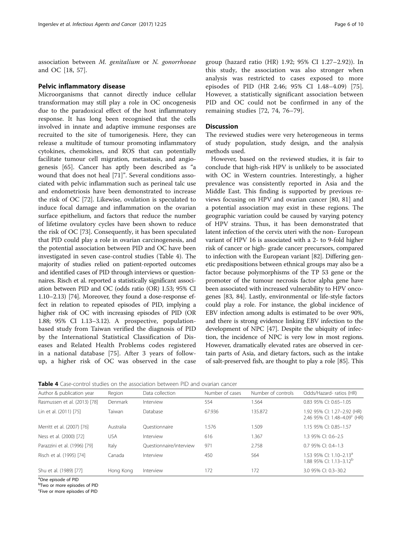association between M. genitalium or N. gonorrhoeae and OC [[18,](#page-7-0) [57\]](#page-8-0).

# Pelvic inflammatory disease

Microorganisms that cannot directly induce cellular transformation may still play a role in OC oncogenesis due to the paradoxical effect of the host inflammatory response. It has long been recognised that the cells involved in innate and adaptive immune responses are recruited to the site of tumorigenesis. Here, they can release a multitude of tumour promoting inflammatory cytokines, chemokines, and ROS that can potentially facilitate tumour cell migration, metastasis, and angiogenesis [\[65\]](#page-8-0). Cancer has aptly been described as "a wound that does not heal [\[71](#page-8-0)]". Several conditions associated with pelvic inflammation such as perineal talc use and endometriosis have been demonstrated to increase the risk of OC [\[72](#page-8-0)]. Likewise, ovulation is speculated to induce focal damage and inflammation on the ovarian surface epithelium, and factors that reduce the number of lifetime ovulatory cycles have been shown to reduce the risk of OC [\[73](#page-8-0)]. Consequently, it has been speculated that PID could play a role in ovarian carcinogenesis, and the potential association between PID and OC have been investigated in seven case-control studies (Table 4). The majority of studies relied on patient-reported outcomes and identified cases of PID through interviews or questionnaires. Risch et al. reported a statistically significant association between PID and OC (odds ratio (OR) 1.53; 95% CI 1.10–2.13) [[74](#page-8-0)]. Moreover, they found a dose-response effect in relation to repeated episodes of PID, implying a higher risk of OC with increasing episodes of PID (OR 1.88; 95% CI 1.13–3.12). A prospective, populationbased study from Taiwan verified the diagnosis of PID by the International Statistical Classification of Diseases and Related Health Problems codes registered in a national database [\[75](#page-8-0)]. After 3 years of followup, a higher risk of OC was observed in the case group (hazard ratio (HR) 1.92; 95% CI 1.27–2.92)). In this study, the association was also stronger when analysis was restricted to cases exposed to more episodes of PID (HR 2.46; 95% CI 1.48–4.09) [\[75](#page-8-0)]. However, a statistically significant association between PID and OC could not be confirmed in any of the remaining studies [[72, 74, 76](#page-8-0)–[79](#page-9-0)].

# **Discussion**

The reviewed studies were very heterogeneous in terms of study population, study design, and the analysis methods used.

However, based on the reviewed studies, it is fair to conclude that high-risk HPV is unlikely to be associated with OC in Western countries. Interestingly, a higher prevalence was consistently reported in Asia and the Middle East. This finding is supported by previous reviews focusing on HPV and ovarian cancer [\[80](#page-9-0), [81\]](#page-9-0) and a potential association may exist in these regions. The geographic variation could be caused by varying potency of HPV strains. Thus, it has been demonstrated that latent infection of the cervix uteri with the non- European variant of HPV 16 is associated with a 2- to 9-fold higher risk of cancer or high- grade cancer precursors, compared to infection with the European variant [[82](#page-9-0)]. Differing genetic predispositions between ethnical groups may also be a factor because polymorphisms of the TP 53 gene or the promoter of the tumour necrosis factor alpha gene have been associated with increased vulnerability to HPV oncogenes [\[83, 84\]](#page-9-0). Lastly, environmental or life-style factors could play a role. For instance, the global incidence of EBV infection among adults is estimated to be over 90%, and there is strong evidence linking EBV infection to the development of NPC [\[47\]](#page-8-0). Despite the ubiquity of infection, the incidence of NPC is very low in most regions. However, dramatically elevated rates are observed in certain parts of Asia, and dietary factors, such as the intake of salt-preserved fish, are thought to play a role [[85\]](#page-9-0). This

**Table 4** Case-control studies on the association between PID and ovarian cancer

| Author & publication year    | Region     | Data collection         | Number of cases | Number of controls | Odds/Hazard-ratios (HR)                                                    |
|------------------------------|------------|-------------------------|-----------------|--------------------|----------------------------------------------------------------------------|
| Rasmussen et al. (2013) [78] | Denmark    | Interview               | 554             | 1.564              | 0.83 95% CI: 0.65-1.05                                                     |
| Lin et al. (2011) [75]       | Taiwan     | Database                | 67.936          | 135.872            | 1.92 95% CI: 1.27-2.92 (HR)<br>2.46 95% CI: 1.48-4.09 <sup>c</sup> (HR)    |
| Merritt et al. (2007) [76]   | Australia  | Ouestionnaire           | 1.576           | 1.509              | 1.15 95% CI: 0.85-1.57                                                     |
| Ness et al. (2000) [72]      | <b>USA</b> | Interview               | 616             | 1.367              | 1.3 95% CI: 0.6-2.5                                                        |
| Parazzini et al. (1996) [79] | Italy      | Ouestionnaire/interview | 971             | 2.758              | $0.795\%$ Cl: 0.4-1.3                                                      |
| Risch et al. (1995) [74]     | Canada     | Interview               | 450             | 564                | 1.53 95% CI: 1.10-2.13 <sup>a</sup><br>1.88 95% CI: 1.13-3.12 <sup>b</sup> |
| Shu et al. (1989) [77]       | Hong Kong  | Interview               | 172             | 172                | 3.0 95% CI: 0.3-30.2                                                       |

<sup>a</sup>One episode of PID

<sup>b</sup>Two or more episodes of PID

<sup>c</sup>Five or more episodes of PID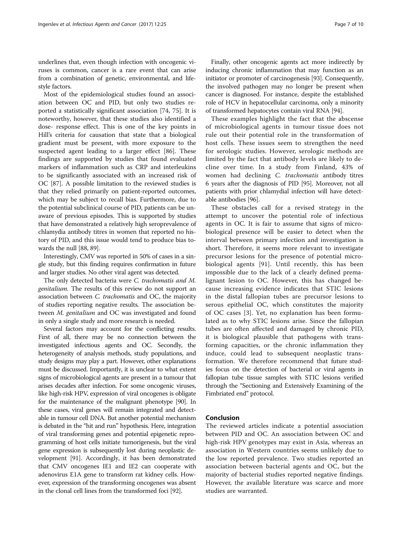underlines that, even though infection with oncogenic viruses is common, cancer is a rare event that can arise from a combination of genetic, environmental, and lifestyle factors.

Most of the epidemiological studies found an association between OC and PID, but only two studies reported a statistically significant association [\[74, 75](#page-8-0)]. It is noteworthy, however, that these studies also identified a dose- response effect. This is one of the key points in Hill's criteria for causation that state that a biological gradient must be present, with more exposure to the suspected agent leading to a larger effect [[86\]](#page-9-0). These findings are supported by studies that found evaluated markers of inflammation such as CRP and interleukins to be significantly associated with an increased risk of OC [\[87\]](#page-9-0). A possible limitation to the reviewed studies is that they relied primarily on patient-reported outcomes, which may be subject to recall bias. Furthermore, due to the potential subclinical course of PID, patients can be unaware of previous episodes. This is supported by studies that have demonstrated a relatively high seroprevalence of chlamydia antibody titres in women that reported no history of PID, and this issue would tend to produce bias towards the null [\[88, 89](#page-9-0)].

Interestingly, CMV was reported in 50% of cases in a single study, but this finding requires confirmation in future and larger studies. No other viral agent was detected.

The only detected bacteria were C. trachomatis and M. genitalium. The results of this review do not support an association between C. trachomatis and OC, the majority of studies reporting negative results. The association between M. genitalium and OC was investigated and found in only a single study and more research is needed.

Several factors may account for the conflicting results. First of all, there may be no connection between the investigated infectious agents and OC. Secondly, the heterogeneity of analysis methods, study populations, and study designs may play a part. However, other explanations must be discussed. Importantly, it is unclear to what extent signs of microbiological agents are present in a tumour that arises decades after infection. For some oncogenic viruses, like high-risk HPV, expression of viral oncogenes is obligate for the maintenance of the malignant phenotype [\[90\]](#page-9-0). In these cases, viral genes will remain integrated and detectable in tumour cell DNA. But another potential mechanism is debated in the "hit and run" hypothesis. Here, integration of viral transforming genes and potential epigenetic reprogramming of host cells initiate tumorigenesis, but the viral gene expression is subsequently lost during neoplastic development [\[91\]](#page-9-0). Accordingly, it has been demonstrated that CMV oncogenes IE1 and IE2 can cooperate with adenovirus E1A gene to transform rat kidney cells. However, expression of the transforming oncogenes was absent in the clonal cell lines from the transformed foci [\[92](#page-9-0)].

Finally, other oncogenic agents act more indirectly by inducing chronic inflammation that may function as an initiator or promoter of carcinogenesis [\[93](#page-9-0)]. Consequently, the involved pathogen may no longer be present when cancer is diagnosed. For instance, despite the established role of HCV in hepatocellular carcinoma, only a minority of transformed hepatocytes contain viral RNA [\[94](#page-9-0)].

These examples highlight the fact that the abscense of microbiological agents in tumour tissue does not rule out their potential role in the transformation of host cells. These issues seem to strengthen the need for serologic studies. However, serologic methods are limited by the fact that antibody levels are likely to decline over time. In a study from Finland, 43% of women had declining C. trachomatis antibody titres 6 years after the diagnosis of PID [\[95](#page-9-0)]. Moreover, not all patients with prior chlamydial infection will have detectable antibodies [\[96\]](#page-9-0).

These obstacles call for a revised strategy in the attempt to uncover the potential role of infectious agents in OC. It is fair to assume that signs of microbiological presence will be easier to detect when the interval between primary infection and investigation is short. Therefore, it seems more relevant to investigate precursor lesions for the presence of potential microbiological agents [[91\]](#page-9-0). Until recently, this has been impossible due to the lack of a clearly defined premalignant lesion to OC. However, this has changed because increasing evidence indicates that STIC lesions in the distal fallopian tubes are precursor lesions to serous epithelial OC, which constitutes the majority of OC cases [[3\]](#page-7-0). Yet, no explanation has been formulated as to why STIC lesions arise. Since the fallopian tubes are often affected and damaged by chronic PID, it is biological plausible that pathogens with transforming capacities, or the chronic inflammation they induce, could lead to subsequent neoplastic transformation. We therefore recommend that future studies focus on the detection of bacterial or viral agents in fallopian tube tissue samples with STIC lesions verified through the "Sectioning and Extensively Examining of the Fimbriated end" protocol.

# Conclusion

The reviewed articles indicate a potential association between PID and OC. An association between OC and high-risk HPV genotypes may exist in Asia, whereas an association in Western countries seems unlikely due to the low reported prevalence. Two studies reported an association between bacterial agents and OC, but the majority of bacterial studies reported negative findings. However, the available literature was scarce and more studies are warranted.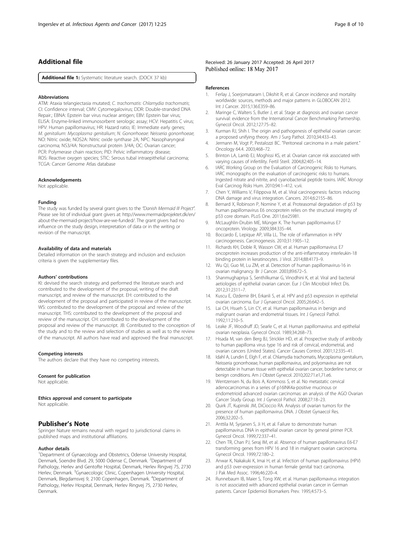# <span id="page-7-0"></span>Additional file

[Additional file 1:](dx.doi.org/10.1186/s13027-017-0134-9) Systematic literature search. (DOCX 37 kb)

### Abbreviations

ATM: Ataxia telangiectasia mutated; C. trachomatis: Chlamydia trachomatis; CI: Confidence interval; CMV: Cytomegalovirus; DDR: Double-stranded DNA Repair.; EBNA: Epstein bar virus nuclear antigen; EBV: Epstein bar virus; ELISA: Enzyme-linked immunosorbent serologic assay; HCV: Hepatitis C virus; HPV: Human papillomavirus; HR: Hazard ratio; IE: Immediate early genes; M. genitalium: Mycoplasma genitalium; N. Gonorrhoeae: Neisseria gonorrhoeae; NO: Nitric oxide; NOS2A: Nitric oxide synthase 2A; NPC: Nasopharyngeal carcinoma; NS3/4A: Nonstructural protein 3/4A; OC: Ovarian cancer; PCR: Polymerase chain reaction; PID: Pelvic inflammatory disease; ROS: Reactive oxygen species; STIC: Serous tubal intraepithelial carcinoma; TCGA: Cancer Genome Atlas database

# Acknowledgements

Not applicable.

#### Funding

The study was funded by several grant givers to the "Danish Mermaid III Project". Please see list of individual grant givers at: [http://www.mermaidprojektet.dk/en/](http://www.mermaidprojektet.dk/en/about-the-mermaid-project/how-are-we-funded/) [about-the-mermaid-project/how-are-we-funded/.](http://www.mermaidprojektet.dk/en/about-the-mermaid-project/how-are-we-funded/) The grant givers had no influence on the study design, interpretation of data or in the writing or revision of the manuscript.

## Availability of data and materials

Detailed information on the search strategy and inclusion and exclusion criteria is given the supplementary files.

# Authors' contributions

KI: devised the search strategy and performed the literature search and contributed to the development of the proposal, writing of the draft manuscript, and review of the manuscript. EH: contributed to the development of the proposal and participated in review of the manuscript. WS: contributed to the development of the proposal and review of the manuscript. THS: contributed to the development of the proposal and review of the manuscript. CH: contributed to the development of the proposal and review of the manuscript. JB: Contributed to the conception of the study and to the review and selection of studies as well as to the review of the manuscript. All authors have read and approved the final manuscript.

#### Competing interests

The authors declare that they have no competing interests.

#### Consent for publication

Not applicable.

#### Ethics approval and consent to participate

Not applicable.

# Publisher's Note

Springer Nature remains neutral with regard to jurisdictional claims in published maps and institutional affiliations.

#### Author details

<sup>1</sup>Department of Gynaecology and Obstetrics, Odense University Hospital, Denmark, Soendre Blvd. 29, 5000 Odense C, Denmark. <sup>2</sup>Department of Pathology, Herlev and Gentofte Hospital, Denmark, Herlev Ringvej 75, 2730 Herlev, Denmark. <sup>3</sup>Gynaecologic Clinic, Copenhagen University Hospital, Denmark, Blegdamsvej 9, 2100 Copenhagen, Denmark. <sup>4</sup> Department of Pathology, Herlev Hospital, Denmark, Herlev Ringvej 75, 2730 Herlev, Denmark.

# Received: 26 January 2017 Accepted: 26 April 2017 Published online: 18 May 2017

#### References

- 1. Ferlay J, Soerjomataram I, Dikshit R, et al. Cancer incidence and mortality worldwide: sources, methods and major patterns in GLOBOCAN 2012. Int J Cancer. 2015;136:E359–86.
- 2. Maringe C, Walters S, Butler J, et al. Stage at diagnosis and ovarian cancer survival: evidence from the International Cancer Benchmarking Partnership. Gynecol Oncol. 2012;127:75–82.
- Kurman RJ, Shih I. The origin and pathogenesis of epithelial ovarian cancer: a proposed unifying theory. Am J Surg Pathol. 2010;34:433–43.
- 4. Jermann M, Vogt P, Pestalozzi BC. "Peritoneal carcinoma in a male patient." Oncology 64.4. 2003;468–72.
- 5. Brinton LA, Lamb EJ, Moghissi KS, et al. Ovarian cancer risk associated with varying causes of infertility. Fertil Steril. 2004;82:405–14.
- 6. IARC Working Group on the Evaluation of Carcinogenic Risks to Humans. IARC monographs on the evaluation of carcinogenic risks to humans. Ingested nitrate and nitrite, and cyanobacterial peptide toxins. IARC Monogr Eval Carcinog Risks Hum. 2010;94:1–412. v,vii.
- 7. Chen Y, Williams V, Filippova M, et al. Viral carcinogenesis: factors inducing DNA damage and virus integration. Cancers. 2014;6:2155–86.
- 8. Bernard X, Robinson P, Nomine Y, et al. Proteasomal degradation of p53 by human papillomavirus E6 oncoprotein relies on the structural integrity of p53 core domain. PLoS One. 2011;6:e25981.
- 9. McLaughlin-Drubin ME, Münger K. The human papillomavirus E7 oncoprotein. Virology. 2009;384:335–44.
- 10. Boccardo E, Lepique AP, Villa LL. The role of inflammation in HPV carcinogenesis. Carcinogenesis. 2010;31:1905–12.
- 11. Richards KH, Doble R, Wasson CW, et al. Human papillomavirus E7 oncoprotein increases production of the anti-inflammatory interleukin-18 binding protein in keratinocytes. J Virol. 2014;88:4173–9.
- 12. Wu QJ, Guo M, Lu ZM, et al. Detection of human papillomavirus-16 in ovarian malignancy. Br J Cancer. 2003;89:672–5.
- 13. Shanmughapriya S, Senthilkumar G, Vinodhini K, et al. Viral and bacterial aetiologies of epithelial ovarian cancer. Eur J Clin Microbiol Infect Dis. 2012;31:2311–7.
- 14. Kuscu E, Ozdemir BH, Erkanli S, et al. HPV and p53 expression in epithelial ovarian carcinoma. Eur J Gynaecol Oncol. 2005;26:642–5.
- 15. Lai CH, Hsueh S, Lin CY, et al. Human papillomavirus in benign and malignant ovarian and endometrial tissues. Int J Gynecol Pathol. 1992;11:210–5.
- 16. Leake JF, Woodruff JD, Searle C, et al. Human papillomavirus and epithelial ovarian neoplasia. Gynecol Oncol. 1989;34:268–73.
- 17. Hisada M, van den Berg BJ, Strickler HD, et al. Prospective study of antibody to human papilloma virus type 16 and risk of cervical, endometrial, and ovarian cancers (United States). Cancer Causes Control. 2001;12:335–41.
- 18. Idahl A, Lundin E, Elgh F, et al. Chlamydia trachomatis, Mycoplasma genitalium, Neisseria gonorrhoeae, human papillomavirus, and polyomavirus are not detectable in human tissue with epithelial ovarian cancer, borderline tumor, or benign conditions. Am J Obstet Gynecol. 2010;202:71.e1,71.e6.
- 19. Wentzensen N, du Bois A, Kommoss S, et al. No metastatic cervical adenocarcinomas in a series of p16INK4a-positive mucinous or endometrioid advanced ovarian carcinomas: an analysis of the AGO Ovarian Cancer Study Group. Int J Gynecol Pathol. 2008;27:18–23.
- 20. Quirk JT, Kupinski JM, DiCioccio RA. Analysis of ovarian tumors for the presence of human papillomavirus DNA. J Obstet Gynaecol Res. 2006;32:202–5.
- 21. Anttila M, Syrjanen S, Ji H, et al. Failure to demonstrate human papillomavirus DNA in epithelial ovarian cancer by general primer PCR. Gynecol Oncol. 1999;72:337–41.
- 22. Chen TR, Chan PJ, Seraj IM, et al. Absence of human papillomavirus E6-E7 transforming genes from HPV 16 and 18 in malignant ovarian carcinoma. Gynecol Oncol. 1999;72:180–2.
- 23. Anwar K, Nakakuki K, Imai H, et al. Infection of human papillomavirus (HPV) and p53 over-expression in human female genital tract carcinoma. J Pak Med Assoc. 1996;46:220–4.
- 24. Runnebaum IB, Maier S, Tong XW, et al. Human papillomavirus integration is not associated with advanced epithelial ovarian cancer in German patients. Cancer Epidemiol Biomarkers Prev. 1995;4:573–5.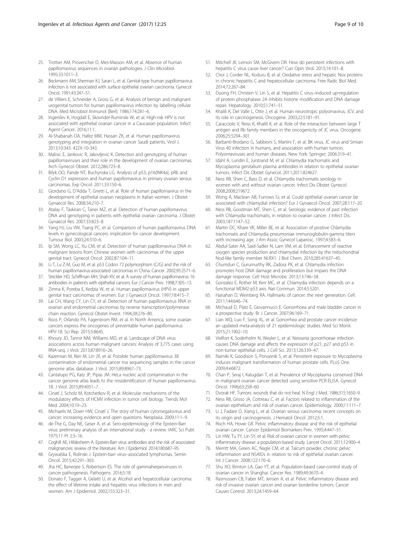- <span id="page-8-0"></span>25. Trottier AM, Provencher D, Mes-Masson AM, et al. Absence of human papillomavirus sequences in ovarian pathologies. J Clin Microbiol. 1995;33:1011–3.
- 26. Beckmann AM, Sherman KJ, Saran L, et al. Genital-type human papillomavirus infection is not associated with surface epithelial ovarian carcinoma. Gynecol Oncol. 1991;43:247–51.
- 27. de Villiers E, Schneider A, Gross G, et al. Analysis of benign and malignant urogenital tumors for human papillomavirus infection by labelling cellular DNA. Med Microbiol Immunol (Berl). 1986;174:281–6.
- 28. Ingerslev K, Hogdall E, Skovrider-Ruminski W, et al. High-risk HPV is not associated with epithelial ovarian cancer in a Caucasian population. Infect Agent Cancer. 2016;11:1.
- 29. Al-Shabanah OA, Hafez MM, Hassan ZK, et al. Human papillomavirus genotyping and integration in ovarian cancer Saudi patients. Virol J. 2013;10:343. 422X-10-343.
- 30. Malisic E, Jankovic R, Jakovljevic K. Detection and genotyping of human papillomaviruses and their role in the development of ovarian carcinomas. Arch Gynecol Obstet. 2012;286:723–8.
- 31. Bilyk OO, Pande NT, Buchynska LG. Analysis of p53, p16(INK4a), pRb and Cyclin D1 expression and human papillomavirus in primary ovarian serous carcinomas. Exp Oncol. 2011;33:150–6.
- 32. Giordano G, D'Adda T, Gnetti L, et al. Role of human papillomavirus in the development of epithelial ovarian neoplasms in Italian women. J Obstet Gynaecol Res. 2008;34:210–7.
- 33. Atalay F, Taskiran C, Taner MZ, et al. Detection of human papillomavirus DNA and genotyping in patients with epithelial ovarian carcinoma. J Obstet Gynaecol Res. 2007;33:823–8.
- 34. Yang HJ, Liu VW, Tsang PC, et al. Comparison of human papillomavirus DNA levels in gynecological cancers: implication for cancer development. Tumour Biol. 2003;24:310–6.
- 35. Ip SM, Wong LC, Xu CM, et al. Detection of human papillomavirus DNA in malignant lesions from Chinese women with carcinomas of the upper genital tract. Gynecol Oncol. 2002;87:104–11.
- 36. Li T, Lu Z-M, Guo M, et al. p53 Codon 72 polymorphism (C/G) and the risk of human papillomavirus-associated carcinomas in China. Cancer. 2002;95:2571–6.
- 37. Strickler HD, Schiffman MH, Shah KV, et al. A survey of human papillomavirus 16 antibodies in patients with epithelial cancers. Eur J Cancer Prev. 1998;7:305–13.
- 38. Zimna K, Poreba E, Kedzia W, et al. Human papillomavirus (HPV) in upper genital tract carcinomas of women. Eur J Gynaecol Oncol. 1997;18:415–7.
- 39. Lai CH, Wang CY, Lin CY, et al. Detection of human papillomavirus RNA in ovarian and endometrial carcinomas by reverse transcription/polymerase chain reaction. Gynecol Obstet Invest. 1994;38:276–80.
- 40. Roos P, Orlando PA, Fagerstrom RM, et al. In North America, some ovarian cancers express the oncogenes of preventable human papillomavirus HPV-18. Sci Rep. 2015;5:8645.
- 41. Khoury JD, Tannir NM, Williams MD, et al. Landscape of DNA virus associations across human malignant cancers: Analysis of 3,775 cases using RNA-seq. J Virol. 2013;87:8916–26.
- 42. Kazemian M, Ren M, Lin JX, et al. Possible human papillomavirus 38 contamination of endometrial cancer rna sequencing samples in the cancer genome atlas database. J Virol. 2015;89:8967–73.
- 43. Cantalupo PG, Katz JP, Pipas JM. HeLa nucleic acid contamination in the cancer genome atlas leads to the misidentification of human papillomavirus 18. J Virol. 2015;89:4051–7.
- 44. Cinatl J, Scholz M, Kotchetkov R, et al. Molecular mechanisms of the modulatory effects of HCMV infection in tumor cell biology. Trends Mol Med. 2004;10:19–23.
- 45. Michaelis M, Doerr HW, Cinatl J. The story of human cytomegalovirus and cancer: increasing evidence and open questions. Neoplasia. 2009;11:1–9.
- 46. de-The G, Day NE, Geser A, et al. Sero-epidemiology of the Epstein-Barr virus: preliminary analysis of an international study - a review. IARC Sci Publ. 1975;11 Pt 2:3–16.
- 47. Coghill AE, Hildesheim A. Epstein-Barr virus antibodies and the risk of associated malignancies: review of the literature. Am J Epidemiol. 2014;180:687–95.
- 48. Grywalska E, Rolinski J. Epstein-barr virus–associated lymphomas. Semin Oncol. 2015;42:291–303.
- 49. Jha HC, Banerjee S, Robertson ES. The role of gammaherpesviruses in cancer pathogenesis. Pathogens. 2016;5:18.
- 50. Donato F, Tagger A, Gelatti U, et al. Alcohol and hepatocellular carcinoma: the effect of lifetime intake and hepatitis virus infections in men and women. Am J Epidemiol. 2002;155:323–31.
- 51. Mitchell JK, Lemon SM, McGivern DR. How do persistent infections with hepatitis C virus cause liver cancer? Curr Opin Virol. 2015;14:101–8.
- 52. Choi J, Corder NL, Koduru B, et al. Oxidative stress and hepatic Nox proteins in chronic hepatitis C and hepatocellular carcinoma. Free Radic Biol Med. 2014;72:267–84.
- 53. Duong FH, Christen V, Lin S, et al. Hepatitis C virus-induced up-regulation of protein phosphatase 2A inhibits histone modification and DNA damage repair. Hepatology. 2010;51:741–51.
- 54. Khalili K, Del Valle L, Otte J, et al. Human neurotropic polyomavirus, JCV, and its role in carcinogenesis. Oncogene. 2003;22:5181–91.
- 55. Caracciolo V, Reiss K, Khalili K, et al. Role of the interaction between large T antigen and Rb family members in the oncogenicity of JC virus. Oncogene. 2006;25:5294–301.
- 56. Barbanti-Brodano G, Sabbioni S, Martini F, et al. BK virus, JC virus and Simian Virus 40 infection in humans, and association with human tumors. Polyomaviruses and human diseases. New York: Springer; 2006:319–41.
- 57. Idahl A, Lundin E, Jurstrand M, et al. Chlamydia trachomatis and Mycoplasma genitalium plasma antibodies in relation to epithelial ovarian tumors. Infect Dis Obstet Gynecol. 2011;2011:824627.
- 58. Ness RB, Shen C, Bass D, et al. Chlamydia trachomatis serology in women with and without ovarian cancer. Infect Dis Obstet Gynecol. 2008;2008:219672.
- 59. Wong A, Maclean AB, Furrows SJ, et al. Could epithelial ovarian cancer be associated with chlamydial infection? Eur J Gynaecol Oncol. 2007;28:117–20.
- Ness RB, Goodman MT, Shen C, et al. Serologic evidence of past infection with Chlamydia trachomatis, in relation to ovarian cancer. J Infect Dis. 2003;187:1147–52.
- 61. Martin DC, Khare VK, Miller BE, et al. Association of positive Chlamydia trachomatis and Chlamydia pneumoniae immunoglobulin-gamma titers with increasing age. J Am Assoc Gynecol Laparosc. 1997;4:583–6.
- 62. Abdul-Sater AA, Said-Sadier N, Lam VM, et al. Enhancement of reactive oxygen species production and chlamydial infection by the mitochondrial Nod-like family member NLRX1. J Biol Chem. 2010;285:41637–45.
- 63. Chumduri C, Gurumurthy RK, Zadora PK, et al. Chlamydia infection promotes host DNA damage and proliferation but impairs the DNA damage response. Cell Host Microbe. 2013;13:746–58.
- 64. Gonzalez E, Rother M, Kerr MC, et al. Chlamydia infection depends on a functional MDM2-p53 axis. Nat Commun. 2014;5:5201.
- 65. Hanahan D, Weinberg RA. Hallmarks of cancer: the next generation. Cell. 2011;144:646–74.
- 66. Michaud D, Platz E, Giovannucci E. Gonorrhoea and male bladder cancer in a prospective study. Br J Cancer. 2007;96:169–71.
- 67. Lian WQ, Luo F, Song XL, et al. Gonorrhea and prostate cancer incidence: an updated meta-analysis of 21 epidemiologic studies. Med Sci Monit. 2015;21:1902–10.
- 68. Vielfort K, Soderholm N, Weyler L, et al. Neisseria gonorrhoeae infection causes DNA damage and affects the expression of p21, p27 and p53 in non-tumor epithelial cells. J Cell Sci. 2013;126:339–47.
- 69. Namiki K, Goodison S, Porvasnik S, et al. Persistent exposure to Mycoplasma induces malignant transformation of human prostate cells. PLoS One. 2009;4:e6872.
- 70. Chan P, Seraj I, Kalugdan T, et al. Prevalence of Mycoplasma conserved DNA in malignant ovarian cancer detected using sensitive PCR-ELISA. Gynecol Oncol. 1996;63:258–60.
- 71. Dvorak HF. Tumors: wounds that do not heal. N Engl J Med. 1986;315:1650–9.
- 72. Ness RB, Grisso JA, Cottreau C, et al. Factors related to inflammation of the ovarian epithelium and risk of ovarian cancer. Epidemiology. 2000;11:111–7.
- 73. Li J, Fadare O, Xiang L, et al. Ovarian serous carcinoma: recent concepts on its origin and carcinogenesis. J Hematol Oncol. 2012;5:1.
- 74. Risch HA, Howe GR. Pelvic inflammatory disease and the risk of epithelial ovarian cancer. Cancer Epidemiol Biomarkers Prev. 1995;4:447–51.
- 75. Lin HW, Tu YY, Lin SY, et al. Risk of ovarian cancer in women with pelvic inflammatory disease: a population-based study. Lancet Oncol. 2011;12:900–4.
- 76. Merritt MA, Green AC, Nagle CM, et al. Talcum powder, chronic pelvic inflammation and NSAIDs in relation to risk of epithelial ovarian cancer. Int J Cancer. 2008;122:170–6.
- 77. Shu XO, Brinton LA, Gao YT, et al. Population-based case-control study of ovarian cancer in Shanghai. Cancer Res. 1989;49:3670–4.
- 78. Rasmussen CB, Faber MT, Jensen A, et al. Pelvic inflammatory disease and risk of invasive ovarian cancer and ovarian borderline tumors. Cancer Causes Control. 2013;24:1459–64.